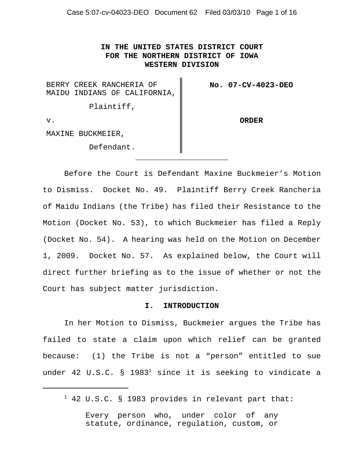Case 5:07-cv-04023-DEO Document 62 Filed 03/03/10 Page 1 of 16

**IN THE UNITED STATES DISTRICT COURT FOR THE NORTHERN DISTRICT OF IOWA WESTERN DIVISION**

 $\mathbf{I}$ 

| BERRY CREEK RANCHERIA OF     | No. 07-CV-4023-DEO |
|------------------------------|--------------------|
| MAIDU INDIANS OF CALIFORNIA, |                    |
| Plaintiff,                   |                    |
| $V$ .                        | <b>ORDER</b>       |
| MAXINE BUCKMEIER,            |                    |
| Defendant.                   |                    |

Before the Court is Defendant Maxine Buckmeier's Motion to Dismiss. Docket No. 49. Plaintiff Berry Creek Rancheria of Maidu Indians (the Tribe) has filed their Resistance to the Motion (Docket No. 53), to which Buckmeier has filed a Reply (Docket No. 54). A hearing was held on the Motion on December 1, 2009. Docket No. 57. As explained below, the Court will direct further briefing as to the issue of whether or not the Court has subject matter jurisdiction.

\_\_\_\_\_\_\_\_\_\_\_\_\_\_\_\_\_\_\_\_

#### **I. INTRODUCTION**

In her Motion to Dismiss, Buckmeier argues the Tribe has failed to state a claim upon which relief can be granted because: (1) the Tribe is not a "person" entitled to sue under 42 U.S.C.  $\S$  1983<sup>1</sup> since it is seeking to vindicate a

 $1$  42 U.S.C. § 1983 provides in relevant part that:

Every person who, under color of any statute, ordinance, regulation, custom, or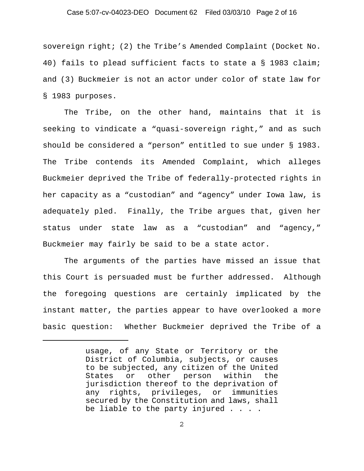# Case 5:07-cv-04023-DEO Document 62 Filed 03/03/10 Page 2 of 16

sovereign right; (2) the Tribe's Amended Complaint (Docket No. 40) fails to plead sufficient facts to state a § 1983 claim; and (3) Buckmeier is not an actor under color of state law for § 1983 purposes.

The Tribe, on the other hand, maintains that it is seeking to vindicate a "quasi-sovereign right," and as such should be considered a "person" entitled to sue under § 1983. The Tribe contends its Amended Complaint, which alleges Buckmeier deprived the Tribe of federally-protected rights in her capacity as a "custodian" and "agency" under Iowa law, is adequately pled. Finally, the Tribe argues that, given her status under state law as a "custodian" and "agency," Buckmeier may fairly be said to be a state actor.

The arguments of the parties have missed an issue that this Court is persuaded must be further addressed. Although the foregoing questions are certainly implicated by the instant matter, the parties appear to have overlooked a more basic question: Whether Buckmeier deprived the Tribe of a

usage, of any State or Territory or the District of Columbia, subjects, or causes to be subjected, any citizen of the United States or other person within the jurisdiction thereof to the deprivation of any rights, privileges, or immunities secured by the Constitution and laws, shall be liable to the party injured . . . .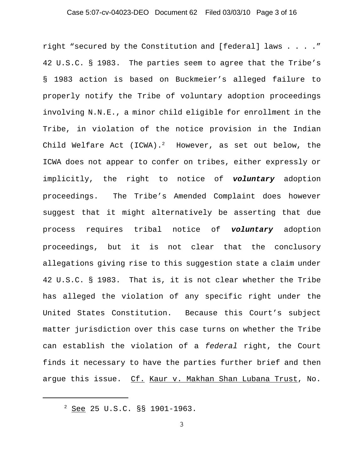# Case 5:07-cv-04023-DEO Document 62 Filed 03/03/10 Page 3 of 16

right "secured by the Constitution and [federal] laws . . . ." 42 U.S.C. § 1983. The parties seem to agree that the Tribe's § 1983 action is based on Buckmeier's alleged failure to properly notify the Tribe of voluntary adoption proceedings involving N.N.E., a minor child eligible for enrollment in the Tribe, in violation of the notice provision in the Indian Child Welfare Act (ICWA).<sup>2</sup> However, as set out below, the ICWA does not appear to confer on tribes, either expressly or implicitly, the right to notice of *voluntary* adoption proceedings. The Tribe's Amended Complaint does however suggest that it might alternatively be asserting that due process requires tribal notice of *voluntary* adoption proceedings, but it is not clear that the conclusory allegations giving rise to this suggestion state a claim under 42 U.S.C. § 1983. That is, it is not clear whether the Tribe has alleged the violation of any specific right under the United States Constitution. Because this Court's subject matter jurisdiction over this case turns on whether the Tribe can establish the violation of a *federal* right, the Court finds it necessary to have the parties further brief and then argue this issue. Cf. Kaur v. Makhan Shan Lubana Trust, No.

 $2$  See 25 U.S.C. §§ 1901-1963.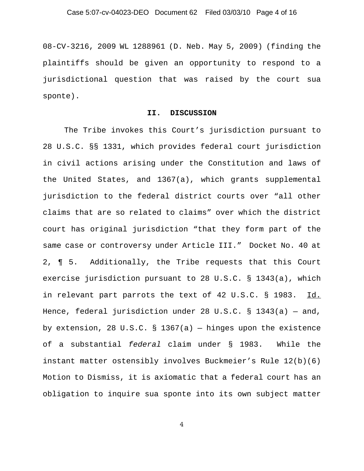08-CV-3216, 2009 WL 1288961 (D. Neb. May 5, 2009) (finding the plaintiffs should be given an opportunity to respond to a jurisdictional question that was raised by the court sua sponte).

#### **II. DISCUSSION**

The Tribe invokes this Court's jurisdiction pursuant to 28 U.S.C. §§ 1331, which provides federal court jurisdiction in civil actions arising under the Constitution and laws of the United States, and 1367(a), which grants supplemental jurisdiction to the federal district courts over "all other claims that are so related to claims" over which the district court has original jurisdiction "that they form part of the same case or controversy under Article III." Docket No. 40 at 2, ¶ 5. Additionally, the Tribe requests that this Court exercise jurisdiction pursuant to 28 U.S.C. § 1343(a), which in relevant part parrots the text of 42 U.S.C. § 1983. Id. Hence, federal jurisdiction under 28 U.S.C. § 1343(a) — and, by extension, 28 U.S.C. § 1367(a) — hinges upon the existence of a substantial *federal* claim under § 1983. While the instant matter ostensibly involves Buckmeier's Rule 12(b)(6) Motion to Dismiss, it is axiomatic that a federal court has an obligation to inquire sua sponte into its own subject matter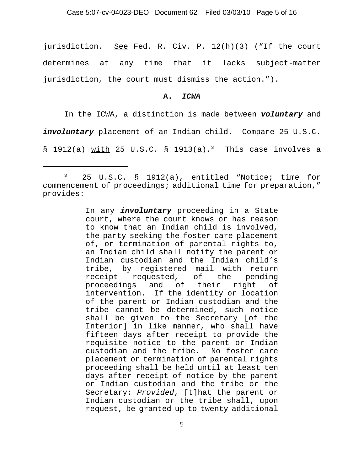jurisdiction. See Fed. R. Civ. P. 12(h)(3) ("If the court determines at any time that it lacks subject-matter jurisdiction, the court must dismiss the action.").

#### **A.** *ICWA*

In the ICWA, a distinction is made between *voluntary* and

involuntary placement of an Indian child. Compare 25 U.S.C.

§ 1912(a) with 25 U.S.C. § 1913(a).<sup>3</sup> This case involves a

In any *involuntary* proceeding in a State court, where the court knows or has reason to know that an Indian child is involved, the party seeking the foster care placement of, or termination of parental rights to, an Indian child shall notify the parent or Indian custodian and the Indian child's tribe, by registered mail with return receipt requested, of the pending proceedings and of their right of intervention. If the identity or location of the parent or Indian custodian and the tribe cannot be determined, such notice shall be given to the Secretary [of the Interior] in like manner, who shall have fifteen days after receipt to provide the requisite notice to the parent or Indian custodian and the tribe. No foster care placement or termination of parental rights proceeding shall be held until at least ten days after receipt of notice by the parent or Indian custodian and the tribe or the Secretary: *Provided*, [t]hat the parent or Indian custodian or the tribe shall, upon request, be granted up to twenty additional

<sup>3 25</sup> U.S.C. § 1912(a), entitled "Notice; time for commencement of proceedings; additional time for preparation," provides: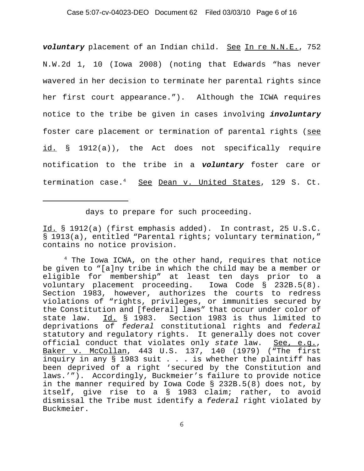# Case 5:07-cv-04023-DEO Document 62 Filed 03/03/10 Page 6 of 16

*voluntary* placement of an Indian child. See In re N.N.E., 752 N.W.2d 1, 10 (Iowa 2008) (noting that Edwards "has never wavered in her decision to terminate her parental rights since her first court appearance."). Although the ICWA requires notice to the tribe be given in cases involving *involuntary* foster care placement or termination of parental rights (see id. § 1912(a)), the Act does not specifically require notification to the tribe in a *voluntary* foster care or termination case.<sup>4</sup> See Dean v. United States, 129 S. Ct.

days to prepare for such proceeding.

Id. § 1912(a) (first emphasis added). In contrast, 25 U.S.C. § 1913(a), entitled "Parental rights; voluntary termination," contains no notice provision.

 $4$  The Iowa ICWA, on the other hand, requires that notice be given to "[a]ny tribe in which the child may be a member or eligible for membership" at least ten days prior to a voluntary placement proceeding. Iowa Code § 232B.5(8). Section 1983, however, authorizes the courts to redress violations of "rights, privileges, or immunities secured by the Constitution and [federal] laws" that occur under color of state law. Id. § 1983. Section 1983 is thus limited to deprivations of *federal* constitutional rights and *federal* statutory and regulatory rights. It generally does not cover official conduct that violates only *state* law. See, e.g., Baker v. McCollan, 443 U.S. 137, 140 (1979) ("The first inquiry in any § 1983 suit . . . is whether the plaintiff has been deprived of a right 'secured by the Constitution and laws.'"). Accordingly, Buckmeier's failure to provide notice in the manner required by Iowa Code § 232B.5(8) does not, by itself, give rise to a § 1983 claim; rather, to avoid dismissal the Tribe must identify a *federal* right violated by Buckmeier.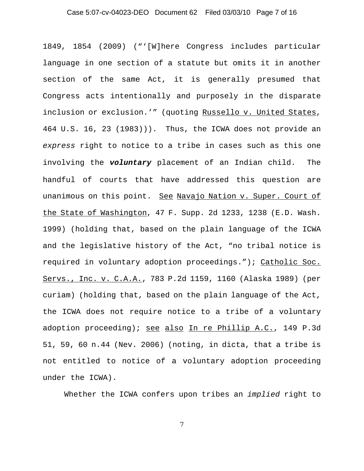# Case 5:07-cv-04023-DEO Document 62 Filed 03/03/10 Page 7 of 16

1849, 1854 (2009) ("'[W]here Congress includes particular language in one section of a statute but omits it in another section of the same Act, it is generally presumed that Congress acts intentionally and purposely in the disparate inclusion or exclusion.'" (quoting Russello v. United States, 464 U.S. 16, 23 (1983))). Thus, the ICWA does not provide an *express* right to notice to a tribe in cases such as this one involving the *voluntary* placement of an Indian child. The handful of courts that have addressed this question are unanimous on this point. See Navajo Nation v. Super. Court of the State of Washington, 47 F. Supp. 2d 1233, 1238 (E.D. Wash. 1999) (holding that, based on the plain language of the ICWA and the legislative history of the Act, "no tribal notice is required in voluntary adoption proceedings."); Catholic Soc. Servs., Inc. v. C.A.A., 783 P.2d 1159, 1160 (Alaska 1989) (per curiam) (holding that, based on the plain language of the Act, the ICWA does not require notice to a tribe of a voluntary adoption proceeding); see also In re Phillip A.C., 149 P.3d 51, 59, 60 n.44 (Nev. 2006) (noting, in dicta, that a tribe is not entitled to notice of a voluntary adoption proceeding under the ICWA).

Whether the ICWA confers upon tribes an *implied* right to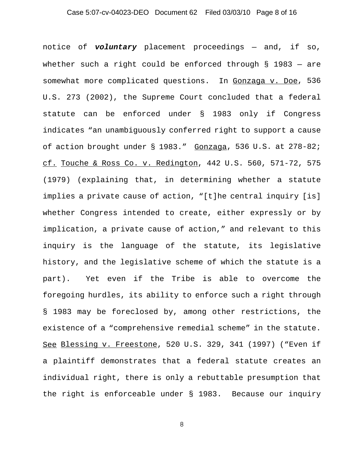# Case 5:07-cv-04023-DEO Document 62 Filed 03/03/10 Page 8 of 16

notice of *voluntary* placement proceedings — and, if so, whether such a right could be enforced through § 1983 — are somewhat more complicated questions. In Gonzaga v. Doe, 536 U.S. 273 (2002), the Supreme Court concluded that a federal statute can be enforced under § 1983 only if Congress indicates "an unambiguously conferred right to support a cause of action brought under § 1983." Gonzaga, 536 U.S. at 278-82; cf. Touche & Ross Co. v. Redington, 442 U.S. 560, 571-72, 575 (1979) (explaining that, in determining whether a statute implies a private cause of action, "[t]he central inquiry [is] whether Congress intended to create, either expressly or by implication, a private cause of action," and relevant to this inquiry is the language of the statute, its legislative history, and the legislative scheme of which the statute is a part). Yet even if the Tribe is able to overcome the foregoing hurdles, its ability to enforce such a right through § 1983 may be foreclosed by, among other restrictions, the existence of a "comprehensive remedial scheme" in the statute. See Blessing v. Freestone, 520 U.S. 329, 341 (1997) ("Even if a plaintiff demonstrates that a federal statute creates an individual right, there is only a rebuttable presumption that the right is enforceable under § 1983. Because our inquiry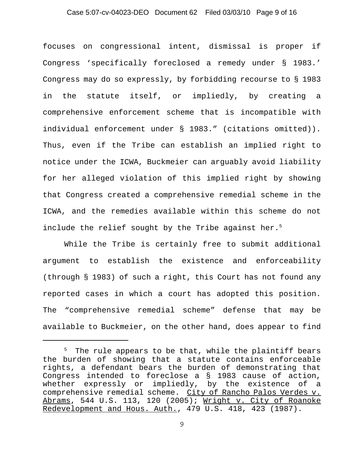# Case 5:07-cv-04023-DEO Document 62 Filed 03/03/10 Page 9 of 16

focuses on congressional intent, dismissal is proper if Congress 'specifically foreclosed a remedy under § 1983.' Congress may do so expressly, by forbidding recourse to § 1983 in the statute itself, or impliedly, by creating a comprehensive enforcement scheme that is incompatible with individual enforcement under § 1983." (citations omitted)). Thus, even if the Tribe can establish an implied right to notice under the ICWA, Buckmeier can arguably avoid liability for her alleged violation of this implied right by showing that Congress created a comprehensive remedial scheme in the ICWA, and the remedies available within this scheme do not include the relief sought by the Tribe against her.<sup>5</sup>

While the Tribe is certainly free to submit additional argument to establish the existence and enforceability (through § 1983) of such a right, this Court has not found any reported cases in which a court has adopted this position. The "comprehensive remedial scheme" defense that may be available to Buckmeier, on the other hand, does appear to find

 $5$  The rule appears to be that, while the plaintiff bears the burden of showing that a statute contains enforceable rights, a defendant bears the burden of demonstrating that Congress intended to foreclose a § 1983 cause of action, whether expressly or impliedly, by the existence of a comprehensive remedial scheme. City of Rancho Palos Verdes v. Abrams, 544 U.S. 113, 120 (2005); Wright v. City of Roanoke Redevelopment and Hous. Auth., 479 U.S. 418, 423 (1987).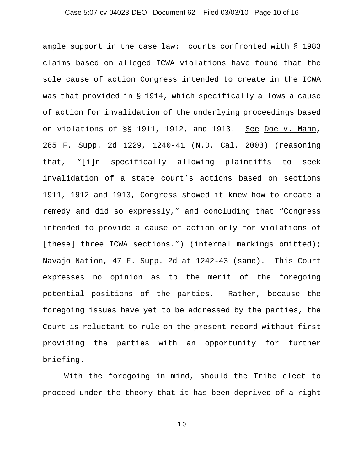# Case 5:07-cv-04023-DEO Document 62 Filed 03/03/10 Page 10 of 16

ample support in the case law: courts confronted with § 1983 claims based on alleged ICWA violations have found that the sole cause of action Congress intended to create in the ICWA was that provided in § 1914, which specifically allows a cause of action for invalidation of the underlying proceedings based on violations of §§ 1911, 1912, and 1913. See Doe v. Mann, 285 F. Supp. 2d 1229, 1240-41 (N.D. Cal. 2003) (reasoning that, "[i]n specifically allowing plaintiffs to seek invalidation of a state court's actions based on sections 1911, 1912 and 1913, Congress showed it knew how to create a remedy and did so expressly," and concluding that "Congress intended to provide a cause of action only for violations of [these] three ICWA sections.") (internal markings omitted); Navajo Nation, 47 F. Supp. 2d at 1242-43 (same). This Court expresses no opinion as to the merit of the foregoing potential positions of the parties. Rather, because the foregoing issues have yet to be addressed by the parties, the Court is reluctant to rule on the present record without first providing the parties with an opportunity for further briefing.

With the foregoing in mind, should the Tribe elect to proceed under the theory that it has been deprived of a right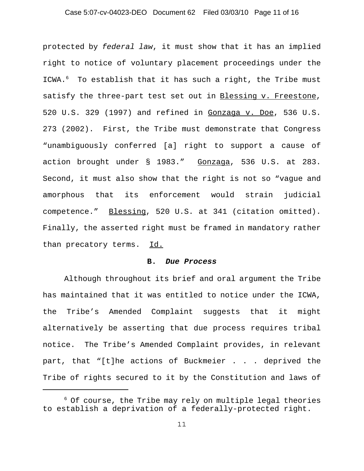# Case 5:07-cv-04023-DEO Document 62 Filed 03/03/10 Page 11 of 16

protected by *federal law*, it must show that it has an implied right to notice of voluntary placement proceedings under the ICWA.<sup>6</sup> To establish that it has such a right, the Tribe must satisfy the three-part test set out in Blessing v. Freestone, 520 U.S. 329 (1997) and refined in Gonzaga v. Doe, 536 U.S. 273 (2002). First, the Tribe must demonstrate that Congress "unambiguously conferred [a] right to support a cause of action brought under § 1983." Gonzaga, 536 U.S. at 283. Second, it must also show that the right is not so "vague and amorphous that its enforcement would strain judicial competence." Blessing, 520 U.S. at 341 (citation omitted). Finally, the asserted right must be framed in mandatory rather than precatory terms. Id.

#### **B.** *Due Process*

Although throughout its brief and oral argument the Tribe has maintained that it was entitled to notice under the ICWA, the Tribe's Amended Complaint suggests that it might alternatively be asserting that due process requires tribal notice. The Tribe's Amended Complaint provides, in relevant part, that "[t]he actions of Buckmeier . . . deprived the Tribe of rights secured to it by the Constitution and laws of

 $6$  Of course, the Tribe may rely on multiple legal theories to establish a deprivation of a federally-protected right.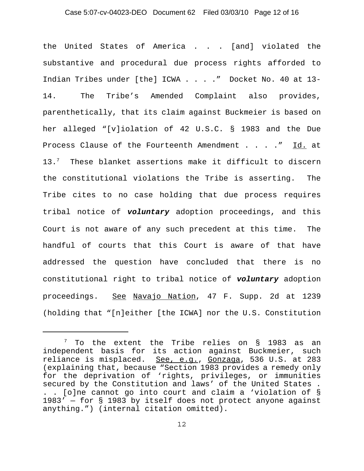# Case 5:07-cv-04023-DEO Document 62 Filed 03/03/10 Page 12 of 16

the United States of America . . . [and] violated the substantive and procedural due process rights afforded to Indian Tribes under [the] ICWA . . . ." Docket No. 40 at 13- 14. The Tribe's Amended Complaint also provides, parenthetically, that its claim against Buckmeier is based on her alleged "[v]iolation of 42 U.S.C. § 1983 and the Due Process Clause of the Fourteenth Amendment . . . ." Id. at 13.<sup>7</sup> These blanket assertions make it difficult to discern the constitutional violations the Tribe is asserting. The Tribe cites to no case holding that due process requires tribal notice of *voluntary* adoption proceedings, and this Court is not aware of any such precedent at this time. The handful of courts that this Court is aware of that have addressed the question have concluded that there is no constitutional right to tribal notice of *voluntary* adoption proceedings. See Navajo Nation, 47 F. Supp. 2d at 1239 (holding that "[n]either [the ICWA] nor the U.S. Constitution

 $7$  To the extent the Tribe relies on § 1983 as an independent basis for its action against Buckmeier, such reliance is misplaced. See, e.g., Gonzaga, 536 U.S. at 283 (explaining that, because "Section 1983 provides a remedy only for the deprivation of 'rights, privileges, or immunities secured by the Constitution and laws' of the United States . . . [o]ne cannot go into court and claim a 'violation of § 1983' — for § 1983 by itself does not protect anyone against anything.") (internal citation omitted).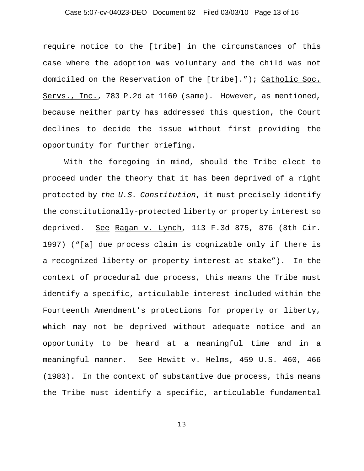# Case 5:07-cv-04023-DEO Document 62 Filed 03/03/10 Page 13 of 16

require notice to the [tribe] in the circumstances of this case where the adoption was voluntary and the child was not domiciled on the Reservation of the [tribe]."); Catholic Soc. Servs., Inc., 783 P.2d at 1160 (same). However, as mentioned, because neither party has addressed this question, the Court declines to decide the issue without first providing the opportunity for further briefing.

With the foregoing in mind, should the Tribe elect to proceed under the theory that it has been deprived of a right protected by *the U.S. Constitution*, it must precisely identify the constitutionally-protected liberty or property interest so deprived. See Ragan v. Lynch, 113 F.3d 875, 876 (8th Cir. 1997) ("[a] due process claim is cognizable only if there is a recognized liberty or property interest at stake"). In the context of procedural due process, this means the Tribe must identify a specific, articulable interest included within the Fourteenth Amendment's protections for property or liberty, which may not be deprived without adequate notice and an opportunity to be heard at a meaningful time and in a meaningful manner. See Hewitt v. Helms, 459 U.S. 460, 466 (1983). In the context of substantive due process, this means the Tribe must identify a specific, articulable fundamental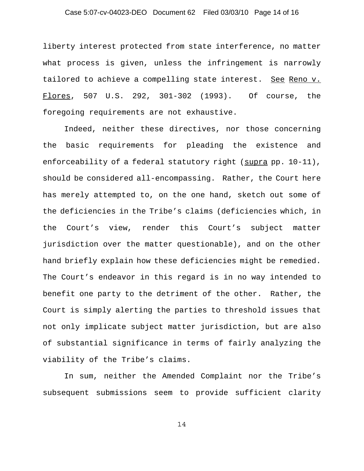# Case 5:07-cv-04023-DEO Document 62 Filed 03/03/10 Page 14 of 16

liberty interest protected from state interference, no matter what process is given, unless the infringement is narrowly tailored to achieve a compelling state interest. See Reno v. Flores, 507 U.S. 292, 301-302 (1993). Of course, the foregoing requirements are not exhaustive.

Indeed, neither these directives, nor those concerning the basic requirements for pleading the existence and enforceability of a federal statutory right (supra pp. 10-11), should be considered all-encompassing. Rather, the Court here has merely attempted to, on the one hand, sketch out some of the deficiencies in the Tribe's claims (deficiencies which, in the Court's view, render this Court's subject matter jurisdiction over the matter questionable), and on the other hand briefly explain how these deficiencies might be remedied. The Court's endeavor in this regard is in no way intended to benefit one party to the detriment of the other. Rather, the Court is simply alerting the parties to threshold issues that not only implicate subject matter jurisdiction, but are also of substantial significance in terms of fairly analyzing the viability of the Tribe's claims.

In sum, neither the Amended Complaint nor the Tribe's subsequent submissions seem to provide sufficient clarity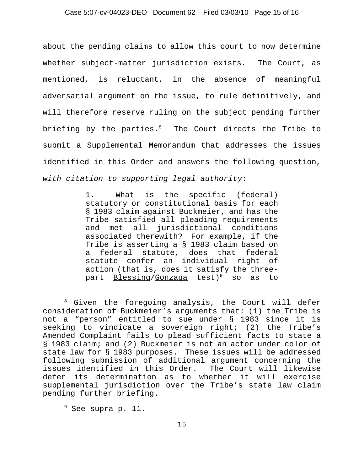# Case 5:07-cv-04023-DEO Document 62 Filed 03/03/10 Page 15 of 16

about the pending claims to allow this court to now determine whether subject-matter jurisdiction exists. The Court, as mentioned, is reluctant, in the absence of meaningful adversarial argument on the issue, to rule definitively, and will therefore reserve ruling on the subject pending further briefing by the parties.<sup>8</sup> The Court directs the Tribe to submit a Supplemental Memorandum that addresses the issues identified in this Order and answers the following question, *with citation to supporting legal authority*:

> 1. What is the specific (federal) statutory or constitutional basis for each § 1983 claim against Buckmeier, and has the Tribe satisfied all pleading requirements and met all jurisdictional conditions associated therewith? For example, if the Tribe is asserting a § 1983 claim based on a federal statute, does that federal statute confer an individual right of action (that is, does it satisfy the threepart Blessing/Gonzaga test)<sup>9</sup> so as to

<sup>&</sup>lt;sup>8</sup> Given the foregoing analysis, the Court will defer consideration of Buckmeier's arguments that: (1) the Tribe is not a "person" entitled to sue under § 1983 since it is seeking to vindicate a sovereign right; (2) the Tribe's Amended Complaint fails to plead sufficient facts to state a § 1983 claim; and (2) Buckmeier is not an actor under color of state law for § 1983 purposes. These issues will be addressed following submission of additional argument concerning the issues identified in this Order. The Court will likewise defer its determination as to whether it will exercise supplemental jurisdiction over the Tribe's state law claim pending further briefing.

<sup>&</sup>lt;sup>9</sup> See supra p. 11.